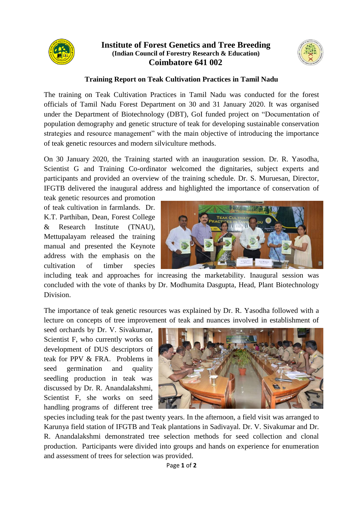

## **Institute of Forest Genetics and Tree Breeding (Indian Council of Forestry Research & Education) Coimbatore 641 002**



## **Training Report on Teak Cultivation Practices in Tamil Nadu**

The training on Teak Cultivation Practices in Tamil Nadu was conducted for the forest officials of Tamil Nadu Forest Department on 30 and 31 January 2020. It was organised under the Department of Biotechnology (DBT), GoI funded project on "Documentation of population demography and genetic structure of teak for developing sustainable conservation strategies and resource management" with the main objective of introducing the importance of teak genetic resources and modern silviculture methods.

On 30 January 2020, the Training started with an inauguration session. Dr. R. Yasodha, Scientist G and Training Co-ordinator welcomed the dignitaries, subject experts and participants and provided an overview of the training schedule. Dr. S. Muruesan, Director, IFGTB delivered the inaugural address and highlighted the importance of conservation of

teak genetic resources and promotion of teak cultivation in farmlands. Dr. K.T. Parthiban, Dean, Forest College & Research Institute (TNAU), Mettupalayam released the training manual and presented the Keynote address with the emphasis on the cultivation of timber species



including teak and approaches for increasing the marketability. Inaugural session was concluded with the vote of thanks by Dr. Modhumita Dasgupta, Head, Plant Biotechnology Division.

The importance of teak genetic resources was explained by Dr. R. Yasodha followed with a lecture on concepts of tree improvement of teak and nuances involved in establishment of

seed orchards by Dr. V. Sivakumar, Scientist F, who currently works on development of DUS descriptors of teak for PPV & FRA. Problems in seed germination and quality seedling production in teak was discussed by Dr. R. Anandalakshmi, Scientist F, she works on seed handling programs of different tree



species including teak for the past twenty years. In the afternoon, a field visit was arranged to Karunya field station of IFGTB and Teak plantations in Sadivayal. Dr. V. Sivakumar and Dr. R. Anandalakshmi demonstrated tree selection methods for seed collection and clonal production. Participants were divided into groups and hands on experience for enumeration and assessment of trees for selection was provided.